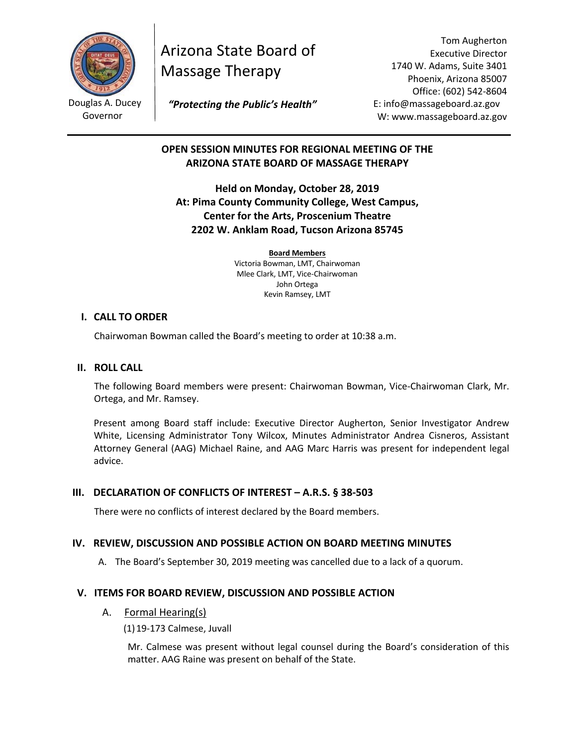

Douglas A. Ducey Governor

Arizona State Board of Massage Therapy

Tom Augherton Executive Director 1740 W. Adams, Suite 3401 Phoenix, Arizona 85007 Office: (602) 542-8604 E: info@massageboard.az.gov W: www.massageboard.az.gov

 *"Protecting the Public's Health"*

# **OPEN SESSION MINUTES FOR REGIONAL MEETING OF THE ARIZONA STATE BOARD OF MASSAGE THERAPY**

**Held on Monday, October 28, 2019 At: Pima County Community College, West Campus, Center for the Arts, Proscenium Theatre 2202 W. Anklam Road, Tucson Arizona 85745**

> **Board Members** Victoria Bowman, LMT, Chairwoman Mlee Clark, LMT, Vice-Chairwoman John Ortega Kevin Ramsey, LMT

## **I. CALL TO ORDER**

Chairwoman Bowman called the Board's meeting to order at 10:38 a.m.

## **II. ROLL CALL**

The following Board members were present: Chairwoman Bowman, Vice-Chairwoman Clark, Mr. Ortega, and Mr. Ramsey.

Present among Board staff include: Executive Director Augherton, Senior Investigator Andrew White, Licensing Administrator Tony Wilcox, Minutes Administrator Andrea Cisneros, Assistant Attorney General (AAG) Michael Raine, and AAG Marc Harris was present for independent legal advice.

## **III. DECLARATION OF CONFLICTS OF INTEREST – A.R.S. § 38-503**

There were no conflicts of interest declared by the Board members.

## **IV. REVIEW, DISCUSSION AND POSSIBLE ACTION ON BOARD MEETING MINUTES**

A. The Board's September 30, 2019 meeting was cancelled due to a lack of a quorum.

## **V. ITEMS FOR BOARD REVIEW, DISCUSSION AND POSSIBLE ACTION**

A. Formal Hearing(s)

(1)19-173 Calmese, Juvall

Mr. Calmese was present without legal counsel during the Board's consideration of this matter. AAG Raine was present on behalf of the State.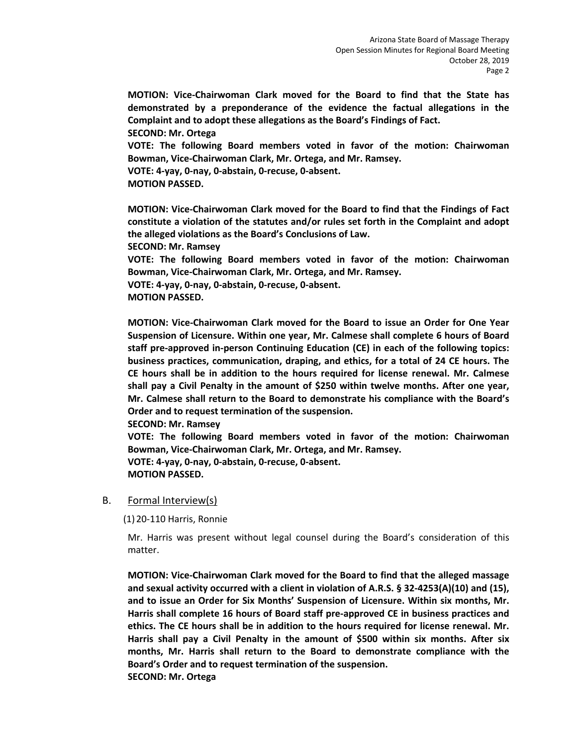**MOTION: Vice-Chairwoman Clark moved for the Board to find that the State has demonstrated by a preponderance of the evidence the factual allegations in the Complaint and to adopt these allegations as the Board's Findings of Fact.** 

**SECOND: Mr. Ortega** 

**VOTE: The following Board members voted in favor of the motion: Chairwoman Bowman, Vice-Chairwoman Clark, Mr. Ortega, and Mr. Ramsey.** 

**VOTE: 4-yay, 0-nay, 0-abstain, 0-recuse, 0-absent.** 

**MOTION PASSED.** 

**MOTION: Vice-Chairwoman Clark moved for the Board to find that the Findings of Fact constitute a violation of the statutes and/or rules set forth in the Complaint and adopt the alleged violations as the Board's Conclusions of Law.** 

**SECOND: Mr. Ramsey** 

**VOTE: The following Board members voted in favor of the motion: Chairwoman Bowman, Vice-Chairwoman Clark, Mr. Ortega, and Mr. Ramsey.**

**VOTE: 4-yay, 0-nay, 0-abstain, 0-recuse, 0-absent. MOTION PASSED.** 

**MOTION: Vice-Chairwoman Clark moved for the Board to issue an Order for One Year Suspension of Licensure. Within one year, Mr. Calmese shall complete 6 hours of Board staff pre-approved in-person Continuing Education (CE) in each of the following topics: business practices, communication, draping, and ethics, for a total of 24 CE hours. The CE hours shall be in addition to the hours required for license renewal. Mr. Calmese shall pay a Civil Penalty in the amount of \$250 within twelve months. After one year, Mr. Calmese shall return to the Board to demonstrate his compliance with the Board's Order and to request termination of the suspension.** 

**SECOND: Mr. Ramsey** 

**VOTE: The following Board members voted in favor of the motion: Chairwoman Bowman, Vice-Chairwoman Clark, Mr. Ortega, and Mr. Ramsey. VOTE: 4-yay, 0-nay, 0-abstain, 0-recuse, 0-absent. MOTION PASSED.** 

## B. Formal Interview(s)

(1) 20-110 Harris, Ronnie

Mr. Harris was present without legal counsel during the Board's consideration of this matter.

**MOTION: Vice-Chairwoman Clark moved for the Board to find that the alleged massage and sexual activity occurred with a client in violation of A.R.S. § 32-4253(A)(10) and (15), and to issue an Order for Six Months' Suspension of Licensure. Within six months, Mr. Harris shall complete 16 hours of Board staff pre-approved CE in business practices and ethics. The CE hours shall be in addition to the hours required for license renewal. Mr. Harris shall pay a Civil Penalty in the amount of \$500 within six months. After six months, Mr. Harris shall return to the Board to demonstrate compliance with the Board's Order and to request termination of the suspension. SECOND: Mr. Ortega**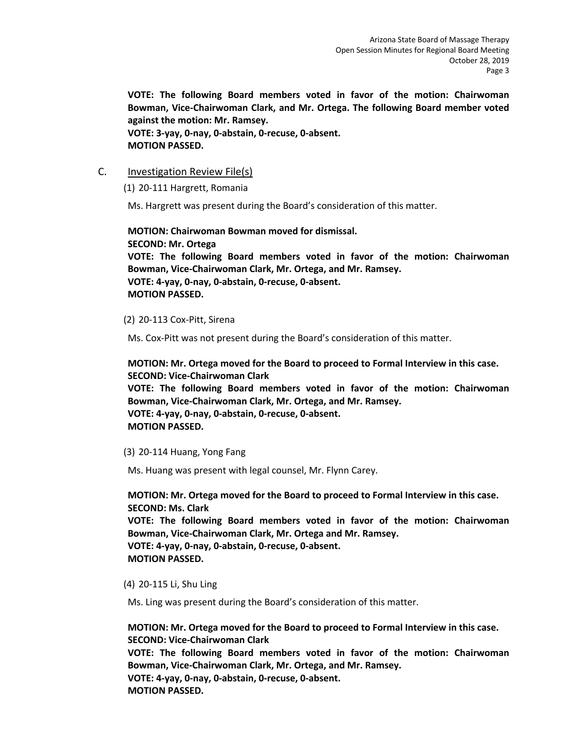**VOTE: The following Board members voted in favor of the motion: Chairwoman Bowman, Vice-Chairwoman Clark, and Mr. Ortega. The following Board member voted against the motion: Mr. Ramsey. VOTE: 3-yay, 0-nay, 0-abstain, 0-recuse, 0-absent. MOTION PASSED.** 

## C. Investigation Review File(s)

(1) 20-111 Hargrett, Romania

Ms. Hargrett was present during the Board's consideration of this matter.

**MOTION: Chairwoman Bowman moved for dismissal. SECOND: Mr. Ortega VOTE: The following Board members voted in favor of the motion: Chairwoman Bowman, Vice-Chairwoman Clark, Mr. Ortega, and Mr. Ramsey. VOTE: 4-yay, 0-nay, 0-abstain, 0-recuse, 0-absent. MOTION PASSED.** 

(2) 20-113 Cox-Pitt, Sirena

Ms. Cox-Pitt was not present during the Board's consideration of this matter.

**MOTION: Mr. Ortega moved for the Board to proceed to Formal Interview in this case. SECOND: Vice-Chairwoman Clark** 

**VOTE: The following Board members voted in favor of the motion: Chairwoman Bowman, Vice-Chairwoman Clark, Mr. Ortega, and Mr. Ramsey. VOTE: 4-yay, 0-nay, 0-abstain, 0-recuse, 0-absent.** 

**MOTION PASSED.** 

(3) 20-114 Huang, Yong Fang

Ms. Huang was present with legal counsel, Mr. Flynn Carey.

**MOTION: Mr. Ortega moved for the Board to proceed to Formal Interview in this case. SECOND: Ms. Clark VOTE: The following Board members voted in favor of the motion: Chairwoman Bowman, Vice-Chairwoman Clark, Mr. Ortega and Mr. Ramsey. VOTE: 4-yay, 0-nay, 0-abstain, 0-recuse, 0-absent. MOTION PASSED.** 

(4) 20-115 Li, Shu Ling

Ms. Ling was present during the Board's consideration of this matter.

**MOTION: Mr. Ortega moved for the Board to proceed to Formal Interview in this case. SECOND: Vice-Chairwoman Clark VOTE: The following Board members voted in favor of the motion: Chairwoman Bowman, Vice-Chairwoman Clark, Mr. Ortega, and Mr. Ramsey. VOTE: 4-yay, 0-nay, 0-abstain, 0-recuse, 0-absent. MOTION PASSED.**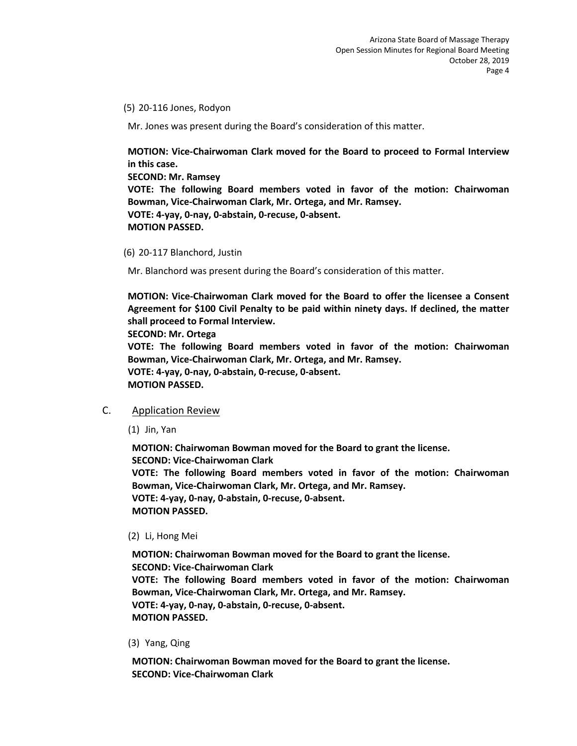(5) 20-116 Jones, Rodyon

Mr. Jones was present during the Board's consideration of this matter.

**MOTION: Vice-Chairwoman Clark moved for the Board to proceed to Formal Interview in this case.** 

**SECOND: Mr. Ramsey VOTE: The following Board members voted in favor of the motion: Chairwoman Bowman, Vice-Chairwoman Clark, Mr. Ortega, and Mr. Ramsey. VOTE: 4-yay, 0-nay, 0-abstain, 0-recuse, 0-absent. MOTION PASSED.** 

(6) 20-117 Blanchord, Justin

Mr. Blanchord was present during the Board's consideration of this matter.

**MOTION: Vice-Chairwoman Clark moved for the Board to offer the licensee a Consent Agreement for \$100 Civil Penalty to be paid within ninety days. If declined, the matter shall proceed to Formal Interview.** 

**SECOND: Mr. Ortega** 

**VOTE: The following Board members voted in favor of the motion: Chairwoman Bowman, Vice-Chairwoman Clark, Mr. Ortega, and Mr. Ramsey.** 

**VOTE: 4-yay, 0-nay, 0-abstain, 0-recuse, 0-absent. MOTION PASSED.** 

## C. Application Review

(1) Jin, Yan

**MOTION: Chairwoman Bowman moved for the Board to grant the license. SECOND: Vice-Chairwoman Clark VOTE: The following Board members voted in favor of the motion: Chairwoman Bowman, Vice-Chairwoman Clark, Mr. Ortega, and Mr. Ramsey. VOTE: 4-yay, 0-nay, 0-abstain, 0-recuse, 0-absent. MOTION PASSED.** 

#### (2) Li, Hong Mei

**MOTION: Chairwoman Bowman moved for the Board to grant the license. SECOND: Vice-Chairwoman Clark VOTE: The following Board members voted in favor of the motion: Chairwoman Bowman, Vice-Chairwoman Clark, Mr. Ortega, and Mr. Ramsey. VOTE: 4-yay, 0-nay, 0-abstain, 0-recuse, 0-absent. MOTION PASSED.** 

(3) Yang, Qing

**MOTION: Chairwoman Bowman moved for the Board to grant the license. SECOND: Vice-Chairwoman Clark**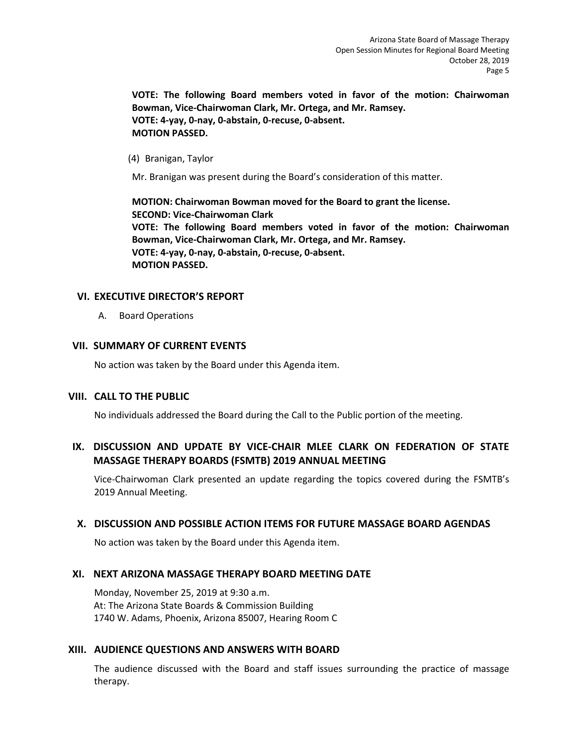**VOTE: The following Board members voted in favor of the motion: Chairwoman Bowman, Vice-Chairwoman Clark, Mr. Ortega, and Mr. Ramsey. VOTE: 4-yay, 0-nay, 0-abstain, 0-recuse, 0-absent. MOTION PASSED.** 

(4) Branigan, Taylor

Mr. Branigan was present during the Board's consideration of this matter.

**MOTION: Chairwoman Bowman moved for the Board to grant the license. SECOND: Vice-Chairwoman Clark VOTE: The following Board members voted in favor of the motion: Chairwoman Bowman, Vice-Chairwoman Clark, Mr. Ortega, and Mr. Ramsey. VOTE: 4-yay, 0-nay, 0-abstain, 0-recuse, 0-absent. MOTION PASSED.** 

## **VI. EXECUTIVE DIRECTOR'S REPORT**

A. Board Operations

## **VII. SUMMARY OF CURRENT EVENTS**

No action was taken by the Board under this Agenda item.

## **VIII. CALL TO THE PUBLIC**

No individuals addressed the Board during the Call to the Public portion of the meeting.

## **IX. DISCUSSION AND UPDATE BY VICE-CHAIR MLEE CLARK ON FEDERATION OF STATE MASSAGE THERAPY BOARDS (FSMTB) 2019 ANNUAL MEETING**

Vice-Chairwoman Clark presented an update regarding the topics covered during the FSMTB's 2019 Annual Meeting.

## **X. DISCUSSION AND POSSIBLE ACTION ITEMS FOR FUTURE MASSAGE BOARD AGENDAS**

No action was taken by the Board under this Agenda item.

## **XI. NEXT ARIZONA MASSAGE THERAPY BOARD MEETING DATE**

Monday, November 25, 2019 at 9:30 a.m. At: The Arizona State Boards & Commission Building 1740 W. Adams, Phoenix, Arizona 85007, Hearing Room C

## **XIII. AUDIENCE QUESTIONS AND ANSWERS WITH BOARD**

The audience discussed with the Board and staff issues surrounding the practice of massage therapy.